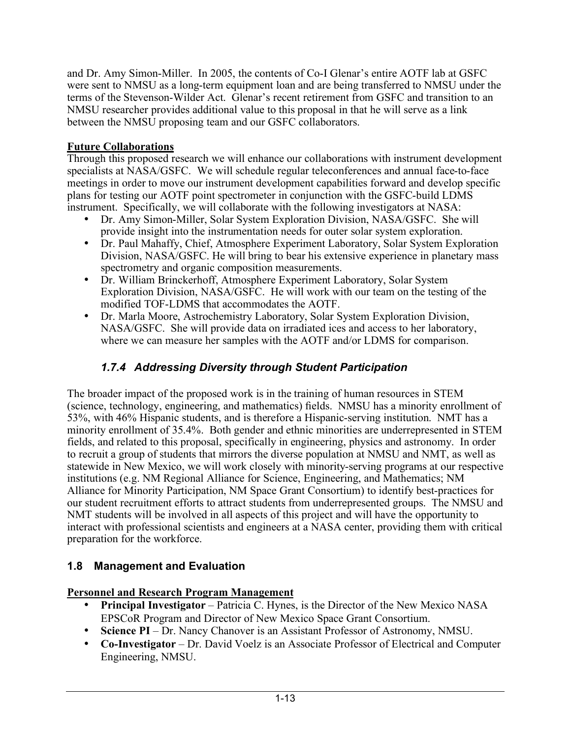and Dr. Amy Simon-Miller. In 2005, the contents of Co-I Glenar's entire AOTF lab at GSFC were sent to NMSU as a long-term equipment loan and are being transferred to NMSU under the terms of the Stevenson-Wilder Act. Glenar's recent retirement from GSFC and transition to an NMSU researcher provides additional value to this proposal in that he will serve as a link between the NMSU proposing team and our GSFC collaborators.

## **Future Collaborations**

Through this proposed research we will enhance our collaborations with instrument development specialists at NASA/GSFC. We will schedule regular teleconferences and annual face-to-face meetings in order to move our instrument development capabilities forward and develop specific plans for testing our AOTF point spectrometer in conjunction with the GSFC-build LDMS instrument. Specifically, we will collaborate with the following investigators at NASA:

- Dr. Amy Simon-Miller, Solar System Exploration Division, NASA/GSFC. She will provide insight into the instrumentation needs for outer solar system exploration.
- Dr. Paul Mahaffy, Chief, Atmosphere Experiment Laboratory, Solar System Exploration Division, NASA/GSFC. He will bring to bear his extensive experience in planetary mass spectrometry and organic composition measurements.
- Dr. William Brinckerhoff, Atmosphere Experiment Laboratory, Solar System Exploration Division, NASA/GSFC. He will work with our team on the testing of the modified TOF-LDMS that accommodates the AOTF.
- Dr. Marla Moore, Astrochemistry Laboratory, Solar System Exploration Division, NASA/GSFC. She will provide data on irradiated ices and access to her laboratory, where we can measure her samples with the AOTF and/or LDMS for comparison.

# *1.7.4 Addressing Diversity through Student Participation*

The broader impact of the proposed work is in the training of human resources in STEM (science, technology, engineering, and mathematics) fields. NMSU has a minority enrollment of 53%, with 46% Hispanic students, and is therefore a Hispanic-serving institution. NMT has a minority enrollment of 35.4%. Both gender and ethnic minorities are underrepresented in STEM fields, and related to this proposal, specifically in engineering, physics and astronomy. In order to recruit a group of students that mirrors the diverse population at NMSU and NMT, as well as statewide in New Mexico, we will work closely with minority-serving programs at our respective institutions (e.g. NM Regional Alliance for Science, Engineering, and Mathematics; NM Alliance for Minority Participation, NM Space Grant Consortium) to identify best-practices for our student recruitment efforts to attract students from underrepresented groups. The NMSU and NMT students will be involved in all aspects of this project and will have the opportunity to interact with professional scientists and engineers at a NASA center, providing them with critical preparation for the workforce.

# **1.8 Management and Evaluation**

## **Personnel and Research Program Management**

- **Principal Investigator** Patricia C. Hynes, is the Director of the New Mexico NASA EPSCoR Program and Director of New Mexico Space Grant Consortium.
- **Science PI** Dr. Nancy Chanover is an Assistant Professor of Astronomy, NMSU.
- **Co-Investigator** Dr. David Voelz is an Associate Professor of Electrical and Computer Engineering, NMSU.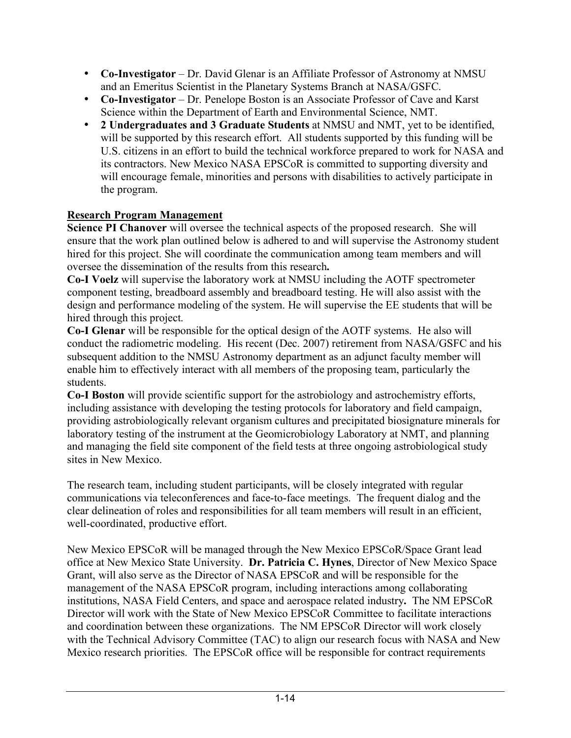- **Co-Investigator** Dr. David Glenar is an Affiliate Professor of Astronomy at NMSU and an Emeritus Scientist in the Planetary Systems Branch at NASA/GSFC.
- **Co-Investigator** Dr. Penelope Boston is an Associate Professor of Cave and Karst Science within the Department of Earth and Environmental Science, NMT.
- **2 Undergraduates and 3 Graduate Students** at NMSU and NMT, yet to be identified, will be supported by this research effort. All students supported by this funding will be U.S. citizens in an effort to build the technical workforce prepared to work for NASA and its contractors. New Mexico NASA EPSCoR is committed to supporting diversity and will encourage female, minorities and persons with disabilities to actively participate in the program.

# **Research Program Management**

**Science PI Chanover** will oversee the technical aspects of the proposed research. She will ensure that the work plan outlined below is adhered to and will supervise the Astronomy student hired for this project. She will coordinate the communication among team members and will oversee the dissemination of the results from this research**.** 

**Co-I Voelz** will supervise the laboratory work at NMSU including the AOTF spectrometer component testing, breadboard assembly and breadboard testing. He will also assist with the design and performance modeling of the system. He will supervise the EE students that will be hired through this project.

**Co-I Glenar** will be responsible for the optical design of the AOTF systems. He also will conduct the radiometric modeling. His recent (Dec. 2007) retirement from NASA/GSFC and his subsequent addition to the NMSU Astronomy department as an adjunct faculty member will enable him to effectively interact with all members of the proposing team, particularly the students.

**Co-I Boston** will provide scientific support for the astrobiology and astrochemistry efforts, including assistance with developing the testing protocols for laboratory and field campaign, providing astrobiologically relevant organism cultures and precipitated biosignature minerals for laboratory testing of the instrument at the Geomicrobiology Laboratory at NMT, and planning and managing the field site component of the field tests at three ongoing astrobiological study sites in New Mexico.

The research team, including student participants, will be closely integrated with regular communications via teleconferences and face-to-face meetings. The frequent dialog and the clear delineation of roles and responsibilities for all team members will result in an efficient, well-coordinated, productive effort.

New Mexico EPSCoR will be managed through the New Mexico EPSCoR/Space Grant lead office at New Mexico State University. **Dr. Patricia C. Hynes**, Director of New Mexico Space Grant, will also serve as the Director of NASA EPSCoR and will be responsible for the management of the NASA EPSCoR program, including interactions among collaborating institutions, NASA Field Centers, and space and aerospace related industry**.** The NM EPSCoR Director will work with the State of New Mexico EPSCoR Committee to facilitate interactions and coordination between these organizations.The NM EPSCoR Director will work closely with the Technical Advisory Committee (TAC) to align our research focus with NASA and New Mexico research priorities. The EPSCoR office will be responsible for contract requirements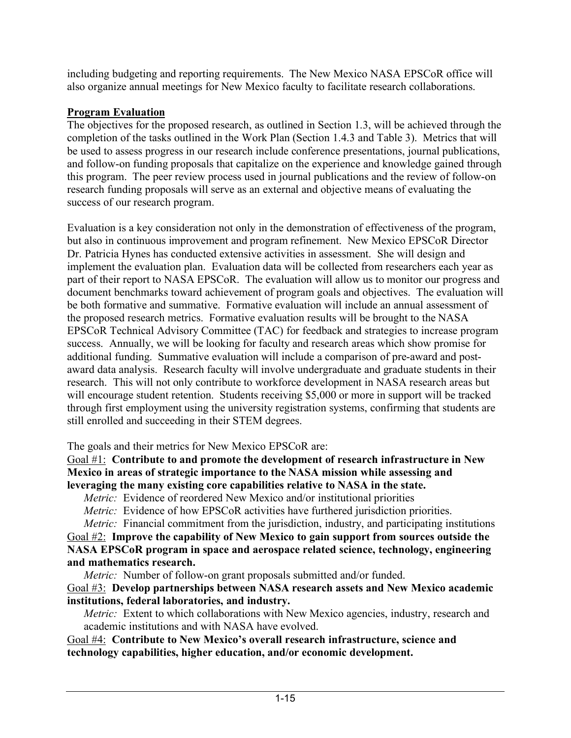including budgeting and reporting requirements.The New Mexico NASA EPSCoR office will also organize annual meetings for New Mexico faculty to facilitate research collaborations.

## **Program Evaluation**

The objectives for the proposed research, as outlined in Section 1.3, will be achieved through the completion of the tasks outlined in the Work Plan (Section 1.4.3 and Table 3). Metrics that will be used to assess progress in our research include conference presentations, journal publications, and follow-on funding proposals that capitalize on the experience and knowledge gained through this program. The peer review process used in journal publications and the review of follow-on research funding proposals will serve as an external and objective means of evaluating the success of our research program.

Evaluation is a key consideration not only in the demonstration of effectiveness of the program, but also in continuous improvement and program refinement. New Mexico EPSCoR Director Dr. Patricia Hynes has conducted extensive activities in assessment. She will design and implement the evaluation plan. Evaluation data will be collected from researchers each year as part of their report to NASA EPSCoR. The evaluation will allow us to monitor our progress and document benchmarks toward achievement of program goals and objectives. The evaluation will be both formative and summative. Formative evaluation will include an annual assessment of the proposed research metrics. Formative evaluation results will be brought to the NASA EPSCoR Technical Advisory Committee (TAC) for feedback and strategies to increase program success. Annually, we will be looking for faculty and research areas which show promise for additional funding. Summative evaluation will include a comparison of pre-award and postaward data analysis. Research faculty will involve undergraduate and graduate students in their research. This will not only contribute to workforce development in NASA research areas but will encourage student retention. Students receiving \$5,000 or more in support will be tracked through first employment using the university registration systems, confirming that students are still enrolled and succeeding in their STEM degrees.

## The goals and their metrics for New Mexico EPSCoR are:

Goal #1: **Contribute to and promote the development of research infrastructure in New Mexico in areas of strategic importance to the NASA mission while assessing and leveraging the many existing core capabilities relative to NASA in the state.**

*Metric:* Evidence of reordered New Mexico and/or institutional priorities

*Metric:* Evidence of how EPSCoR activities have furthered jurisdiction priorities.

*Metric:* Financial commitment from the jurisdiction, industry, and participating institutions Goal #2: **Improve the capability of New Mexico to gain support from sources outside the NASA EPSCoR program in space and aerospace related science, technology, engineering and mathematics research.**

*Metric:* Number of follow-on grant proposals submitted and/or funded.

Goal #3: **Develop partnerships between NASA research assets and New Mexico academic institutions, federal laboratories, and industry.**

*Metric:* Extent to which collaborations with New Mexico agencies, industry, research and academic institutions and with NASA have evolved.

Goal #4: **Contribute to New Mexico's overall research infrastructure, science and technology capabilities, higher education, and/or economic development.**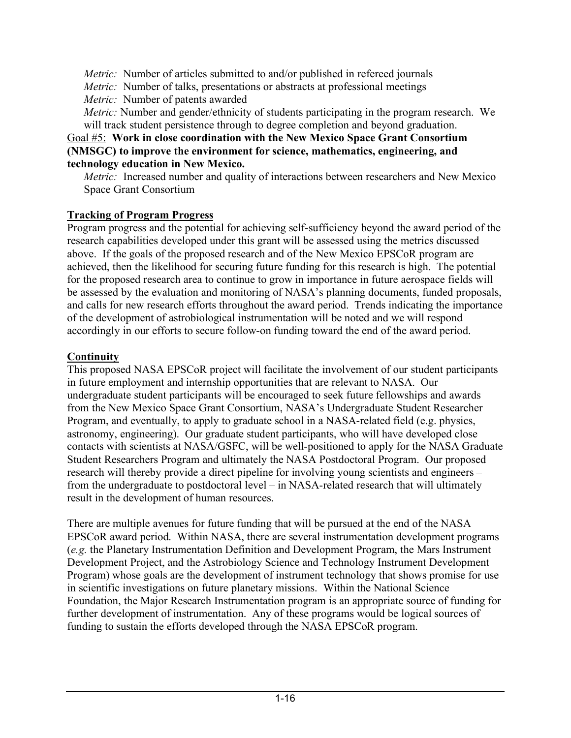*Metric:* Number of articles submitted to and/or published in refereed journals

*Metric:* Number of talks, presentations or abstracts at professional meetings

*Metric:* Number of patents awarded

*Metric:* Number and gender/ethnicity of students participating in the program research. We will track student persistence through to degree completion and beyond graduation.

#### Goal #5: **Work in close coordination with the New Mexico Space Grant Consortium (NMSGC) to improve the environment for science, mathematics, engineering, and technology education in New Mexico.**

*Metric:* Increased number and quality of interactions between researchers and New Mexico Space Grant Consortium

## **Tracking of Program Progress**

Program progress and the potential for achieving self-sufficiency beyond the award period of the research capabilities developed under this grant will be assessed using the metrics discussed above. If the goals of the proposed research and of the New Mexico EPSCoR program are achieved, then the likelihood for securing future funding for this research is high. The potential for the proposed research area to continue to grow in importance in future aerospace fields will be assessed by the evaluation and monitoring of NASA's planning documents, funded proposals, and calls for new research efforts throughout the award period. Trends indicating the importance of the development of astrobiological instrumentation will be noted and we will respond accordingly in our efforts to secure follow-on funding toward the end of the award period.

## **Continuity**

This proposed NASA EPSCoR project will facilitate the involvement of our student participants in future employment and internship opportunities that are relevant to NASA. Our undergraduate student participants will be encouraged to seek future fellowships and awards from the New Mexico Space Grant Consortium, NASA's Undergraduate Student Researcher Program, and eventually, to apply to graduate school in a NASA-related field (e.g. physics, astronomy, engineering). Our graduate student participants, who will have developed close contacts with scientists at NASA/GSFC, will be well-positioned to apply for the NASA Graduate Student Researchers Program and ultimately the NASA Postdoctoral Program. Our proposed research will thereby provide a direct pipeline for involving young scientists and engineers – from the undergraduate to postdoctoral level – in NASA-related research that will ultimately result in the development of human resources.

There are multiple avenues for future funding that will be pursued at the end of the NASA EPSCoR award period. Within NASA, there are several instrumentation development programs (*e.g.* the Planetary Instrumentation Definition and Development Program, the Mars Instrument Development Project, and the Astrobiology Science and Technology Instrument Development Program) whose goals are the development of instrument technology that shows promise for use in scientific investigations on future planetary missions. Within the National Science Foundation, the Major Research Instrumentation program is an appropriate source of funding for further development of instrumentation. Any of these programs would be logical sources of funding to sustain the efforts developed through the NASA EPSCoR program.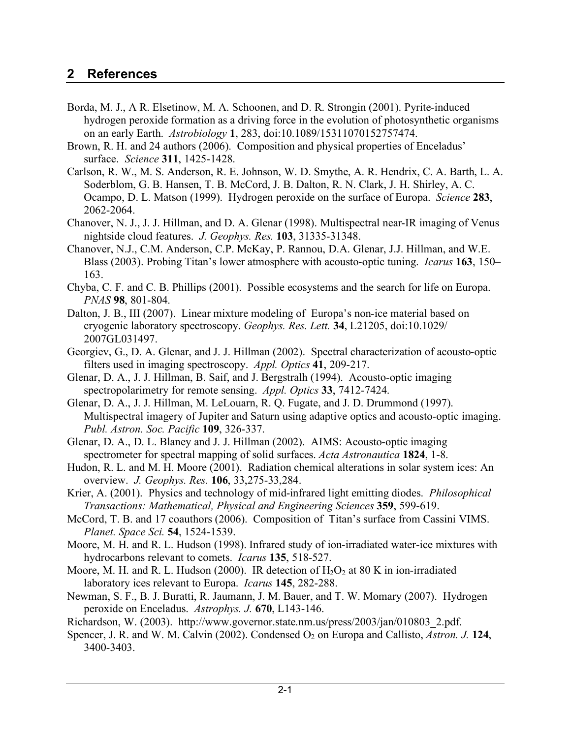# **2 References**

- Borda, M. J., A R. Elsetinow, M. A. Schoonen, and D. R. Strongin (2001). Pyrite-induced hydrogen peroxide formation as a driving force in the evolution of photosynthetic organisms on an early Earth. *Astrobiology* **1**, 283, doi:10.1089/15311070152757474.
- Brown, R. H. and 24 authors (2006). Composition and physical properties of Enceladus' surface. *Science* **311**, 1425-1428.
- Carlson, R. W., M. S. Anderson, R. E. Johnson, W. D. Smythe, A. R. Hendrix, C. A. Barth, L. A. Soderblom, G. B. Hansen, T. B. McCord, J. B. Dalton, R. N. Clark, J. H. Shirley, A. C. Ocampo, D. L. Matson (1999). Hydrogen peroxide on the surface of Europa. *Science* **283**, 2062-2064.
- Chanover, N. J., J. J. Hillman, and D. A. Glenar (1998). Multispectral near-IR imaging of Venus nightside cloud features. *J. Geophys. Res.* **103**, 31335-31348.
- Chanover, N.J., C.M. Anderson, C.P. McKay, P. Rannou, D.A. Glenar, J.J. Hillman, and W.E. Blass (2003). Probing Titan's lower atmosphere with acousto-optic tuning. *Icarus* **163**, 150– 163.
- Chyba, C. F. and C. B. Phillips (2001). Possible ecosystems and the search for life on Europa. *PNAS* **98**, 801-804.
- Dalton, J. B., III (2007). Linear mixture modeling of Europa's non-ice material based on cryogenic laboratory spectroscopy. *Geophys. Res. Lett.* **34**, L21205, doi:10.1029/ 2007GL031497.
- Georgiev, G., D. A. Glenar, and J. J. Hillman (2002). Spectral characterization of acousto-optic filters used in imaging spectroscopy. *Appl. Optics* **41**, 209-217.
- Glenar, D. A., J. J. Hillman, B. Saif, and J. Bergstralh (1994). Acousto-optic imaging spectropolarimetry for remote sensing. *Appl. Optics* **33**, 7412-7424.
- Glenar, D. A., J. J. Hillman, M. LeLouarn, R. Q. Fugate, and J. D. Drummond (1997). Multispectral imagery of Jupiter and Saturn using adaptive optics and acousto-optic imaging. *Publ. Astron. Soc. Pacific* **109**, 326-337.
- Glenar, D. A., D. L. Blaney and J. J. Hillman (2002). AIMS: Acousto-optic imaging spectrometer for spectral mapping of solid surfaces. *Acta Astronautica* **1824**, 1-8.
- Hudon, R. L. and M. H. Moore (2001). Radiation chemical alterations in solar system ices: An overview. *J. Geophys. Res.* **106**, 33,275-33,284.
- Krier, A. (2001). Physics and technology of mid-infrared light emitting diodes. *Philosophical Transactions: Mathematical, Physical and Engineering Sciences* **359**, 599-619.
- McCord, T. B. and 17 coauthors (2006). Composition of Titan's surface from Cassini VIMS. *Planet. Space Sci.* **54**, 1524-1539.
- Moore, M. H. and R. L. Hudson (1998). Infrared study of ion-irradiated water-ice mixtures with hydrocarbons relevant to comets. *Icarus* **135**, 518-527.
- Moore, M. H. and R. L. Hudson (2000). IR detection of  $H_2O_2$  at 80 K in ion-irradiated laboratory ices relevant to Europa. *Icarus* **145**, 282-288.
- Newman, S. F., B. J. Buratti, R. Jaumann, J. M. Bauer, and T. W. Momary (2007). Hydrogen peroxide on Enceladus. *Astrophys. J.* **670**, L143-146.
- Richardson, W. (2003). http://www.governor.state.nm.us/press/2003/jan/010803\_2.pdf.
- Spencer, J. R. and W. M. Calvin (2002). Condensed O<sub>2</sub> on Europa and Callisto, *Astron. J.* 124, 3400-3403.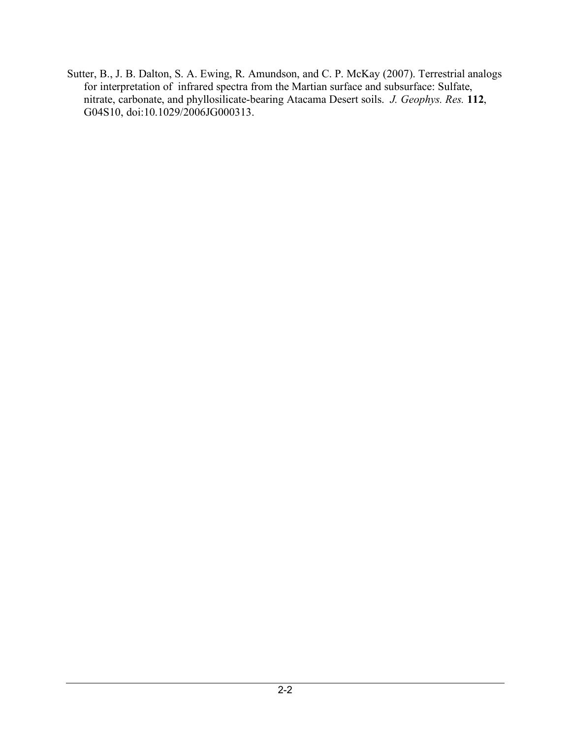Sutter, B., J. B. Dalton, S. A. Ewing, R. Amundson, and C. P. McKay (2007). Terrestrial analogs for interpretation of infrared spectra from the Martian surface and subsurface: Sulfate, nitrate, carbonate, and phyllosilicate-bearing Atacama Desert soils. *J. Geophys. Res.* **112**, G04S10, doi:10.1029/2006JG000313.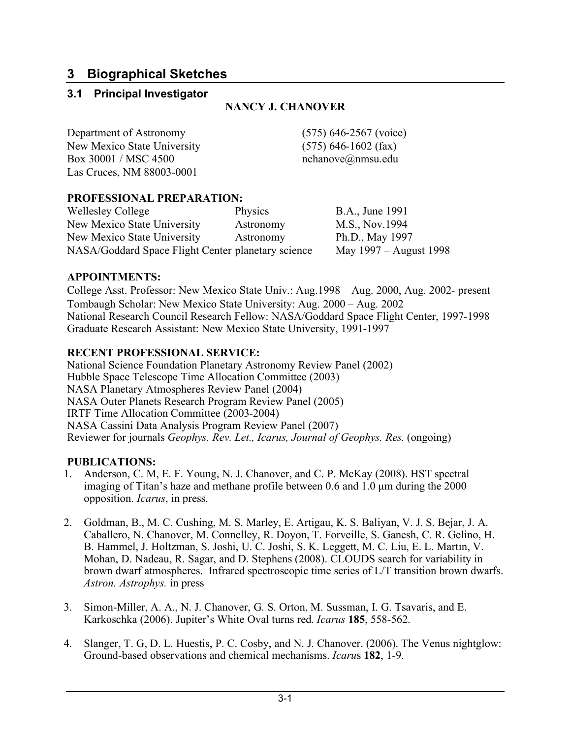# **3 Biographical Sketches**

## **3.1 Principal Investigator**

### **NANCY J. CHANOVER**

Department of Astronomy (575) 646-2567 (voice) New Mexico State University (575) 646-1602 (fax) Box 30001 / MSC 4500 nchanove@nmsu.edu Las Cruces, NM 88003-0001

### **PROFESSIONAL PREPARATION:**

| <b>Wellesley College</b>                           | <b>Physics</b> | B.A., June 1991        |
|----------------------------------------------------|----------------|------------------------|
| New Mexico State University                        | Astronomy      | M.S., Nov.1994         |
| New Mexico State University                        | Astronomy      | Ph.D., May 1997        |
| NASA/Goddard Space Flight Center planetary science |                | May 1997 – August 1998 |

## **APPOINTMENTS:**

College Asst. Professor: New Mexico State Univ.: Aug.1998 – Aug. 2000, Aug. 2002- present Tombaugh Scholar: New Mexico State University: Aug. 2000 – Aug. 2002 National Research Council Research Fellow: NASA/Goddard Space Flight Center, 1997-1998 Graduate Research Assistant: New Mexico State University, 1991-1997

## **RECENT PROFESSIONAL SERVICE:**

National Science Foundation Planetary Astronomy Review Panel (2002) Hubble Space Telescope Time Allocation Committee (2003) NASA Planetary Atmospheres Review Panel (2004) NASA Outer Planets Research Program Review Panel (2005) IRTF Time Allocation Committee (2003-2004) NASA Cassini Data Analysis Program Review Panel (2007) Reviewer for journals *Geophys. Rev. Let., Icarus, Journal of Geophys. Res.* (ongoing)

#### **PUBLICATIONS:**

- 1. Anderson, C. M, E. F. Young, N. J. Chanover, and C. P. McKay (2008). HST spectral imaging of Titan's haze and methane profile between 0.6 and 1.0 µm during the 2000 opposition. *Icarus*, in press.
- 2. Goldman, B., M. C. Cushing, M. S. Marley, E. Artigau, K. S. Baliyan, V. J. S. Bejar, J. A. Caballero, N. Chanover, M. Connelley, R. Doyon, T. Forveille, S. Ganesh, C. R. Gelino, H. B. Hammel, J. Holtzman, S. Joshi, U. C. Joshi, S. K. Leggett, M. C. Liu, E. L. Martın, V. Mohan, D. Nadeau, R. Sagar, and D. Stephens (2008). CLOUDS search for variability in brown dwarf atmospheres. Infrared spectroscopic time series of L/T transition brown dwarfs. *Astron. Astrophys.* in press
- 3. Simon-Miller, A. A., N. J. Chanover, G. S. Orton, M. Sussman, I. G. Tsavaris, and E. Karkoschka (2006). Jupiter's White Oval turns red. *Icarus* **185**, 558-562.
- 4. Slanger, T. G, D. L. Huestis, P. C. Cosby, and N. J. Chanover. (2006). The Venus nightglow: Ground-based observations and chemical mechanisms. *Icaru*s **182**, 1-9.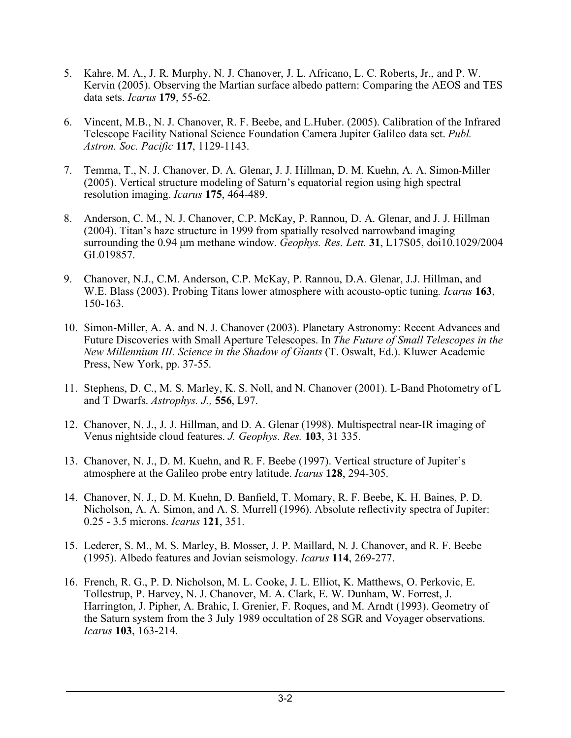- 5. Kahre, M. A., J. R. Murphy, N. J. Chanover, J. L. Africano, L. C. Roberts, Jr., and P. W. Kervin (2005). Observing the Martian surface albedo pattern: Comparing the AEOS and TES data sets. *Icarus* **179**, 55-62.
- 6. Vincent, M.B., N. J. Chanover, R. F. Beebe, and L.Huber. (2005). Calibration of the Infrared Telescope Facility National Science Foundation Camera Jupiter Galileo data set. *Publ. Astron. Soc. Pacific* **117**, 1129-1143.
- 7. Temma, T., N. J. Chanover, D. A. Glenar, J. J. Hillman, D. M. Kuehn, A. A. Simon-Miller (2005). Vertical structure modeling of Saturn's equatorial region using high spectral resolution imaging. *Icarus* **175**, 464-489.
- 8. Anderson, C. M., N. J. Chanover, C.P. McKay, P. Rannou, D. A. Glenar, and J. J. Hillman (2004). Titan's haze structure in 1999 from spatially resolved narrowband imaging surrounding the 0.94 µm methane window. *Geophys. Res. Lett.* **31**, L17S05, doi10.1029/2004 GL019857.
- 9. Chanover, N.J., C.M. Anderson, C.P. McKay, P. Rannou, D.A. Glenar, J.J. Hillman, and W.E. Blass (2003). Probing Titans lower atmosphere with acousto-optic tuning*. Icarus* **163**, 150-163.
- 10. Simon-Miller, A. A. and N. J. Chanover (2003). Planetary Astronomy: Recent Advances and Future Discoveries with Small Aperture Telescopes. In *The Future of Small Telescopes in the New Millennium III. Science in the Shadow of Giants* (T. Oswalt, Ed.). Kluwer Academic Press, New York, pp. 37-55.
- 11. Stephens, D. C., M. S. Marley, K. S. Noll, and N. Chanover (2001). L-Band Photometry of L and T Dwarfs. *Astrophys. J.,* **556**, L97.
- 12. Chanover, N. J., J. J. Hillman, and D. A. Glenar (1998). Multispectral near-IR imaging of Venus nightside cloud features. *J. Geophys. Res.* **103**, 31 335.
- 13. Chanover, N. J., D. M. Kuehn, and R. F. Beebe (1997). Vertical structure of Jupiter's atmosphere at the Galileo probe entry latitude. *Icarus* **128**, 294-305.
- 14. Chanover, N. J., D. M. Kuehn, D. Banfield, T. Momary, R. F. Beebe, K. H. Baines, P. D. Nicholson, A. A. Simon, and A. S. Murrell (1996). Absolute reflectivity spectra of Jupiter: 0.25 - 3.5 microns. *Icarus* **121**, 351.
- 15. Lederer, S. M., M. S. Marley, B. Mosser, J. P. Maillard, N. J. Chanover, and R. F. Beebe (1995). Albedo features and Jovian seismology. *Icarus* **114**, 269-277.
- 16. French, R. G., P. D. Nicholson, M. L. Cooke, J. L. Elliot, K. Matthews, O. Perkovic, E. Tollestrup, P. Harvey, N. J. Chanover, M. A. Clark, E. W. Dunham, W. Forrest, J. Harrington, J. Pipher, A. Brahic, I. Grenier, F. Roques, and M. Arndt (1993). Geometry of the Saturn system from the 3 July 1989 occultation of 28 SGR and Voyager observations. *Icarus* **103**, 163-214.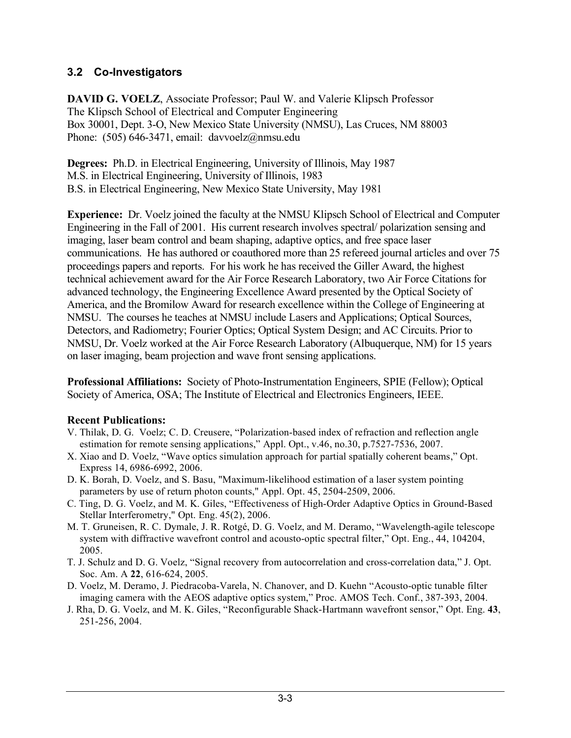## **3.2 Co-Investigators**

**DAVID G. VOELZ**, Associate Professor; Paul W. and Valerie Klipsch Professor The Klipsch School of Electrical and Computer Engineering Box 30001, Dept. 3-O, New Mexico State University (NMSU), Las Cruces, NM 88003 Phone: (505) 646-3471, email: davvoelz@nmsu.edu

**Degrees:** Ph.D. in Electrical Engineering, University of Illinois, May 1987 M.S. in Electrical Engineering, University of Illinois, 1983 B.S. in Electrical Engineering, New Mexico State University, May 1981

**Experience:** Dr. Voelz joined the faculty at the NMSU Klipsch School of Electrical and Computer Engineering in the Fall of 2001. His current research involves spectral/ polarization sensing and imaging, laser beam control and beam shaping, adaptive optics, and free space laser communications. He has authored or coauthored more than 25 refereed journal articles and over 75 proceedings papers and reports. For his work he has received the Giller Award, the highest technical achievement award for the Air Force Research Laboratory, two Air Force Citations for advanced technology, the Engineering Excellence Award presented by the Optical Society of America, and the Bromilow Award for research excellence within the College of Engineering at NMSU. The courses he teaches at NMSU include Lasers and Applications; Optical Sources, Detectors, and Radiometry; Fourier Optics; Optical System Design; and AC Circuits. Prior to NMSU, Dr. Voelz worked at the Air Force Research Laboratory (Albuquerque, NM) for 15 years on laser imaging, beam projection and wave front sensing applications.

**Professional Affiliations:** Society of Photo-Instrumentation Engineers, SPIE (Fellow); Optical Society of America, OSA; The Institute of Electrical and Electronics Engineers, IEEE.

## **Recent Publications:**

- V. Thilak, D. G. Voelz; C. D. Creusere, "Polarization-based index of refraction and reflection angle estimation for remote sensing applications," Appl. Opt., v.46, no.30, p.7527-7536, 2007.
- X. Xiao and D. Voelz, "Wave optics simulation approach for partial spatially coherent beams," Opt. Express 14, 6986-6992, 2006.
- D. K. Borah, D. Voelz, and S. Basu, "Maximum-likelihood estimation of a laser system pointing parameters by use of return photon counts," Appl. Opt. 45, 2504-2509, 2006.
- C. Ting, D. G. Voelz, and M. K. Giles, "Effectiveness of High-Order Adaptive Optics in Ground-Based Stellar Interferometry," Opt. Eng. 45(2), 2006.
- M. T. Gruneisen, R. C. Dymale, J. R. Rotgé, D. G. Voelz, and M. Deramo, "Wavelength-agile telescope system with diffractive wavefront control and acousto-optic spectral filter," Opt. Eng., 44, 104204, 2005.
- T. J. Schulz and D. G. Voelz, "Signal recovery from autocorrelation and cross-correlation data," J. Opt. Soc. Am. A **22**, 616-624, 2005.
- D. Voelz, M. Deramo, J. Piedracoba-Varela, N. Chanover, and D. Kuehn "Acousto-optic tunable filter imaging camera with the AEOS adaptive optics system," Proc. AMOS Tech. Conf., 387-393, 2004.
- J. Rha, D. G. Voelz, and M. K. Giles, "Reconfigurable Shack-Hartmann wavefront sensor," Opt. Eng. **43**, 251-256, 2004.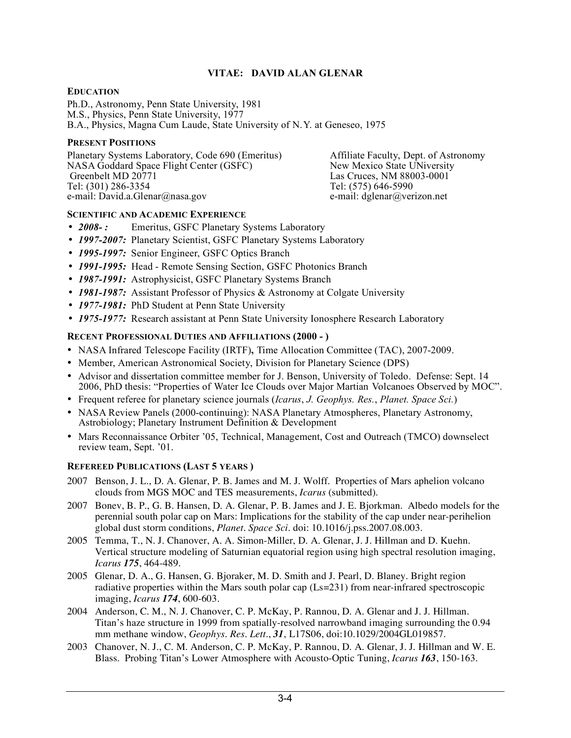#### **VITAE: DAVID ALAN GLENAR**

#### **EDUCATION**

Ph.D., Astronomy, Penn State University, 1981 M.S., Physics, Penn State University, 1977 B.A., Physics, Magna Cum Laude, State University of N.Y. at Geneseo, 1975

#### **PRESENT POSITIONS**

Planetary Systems Laboratory, Code 690 (Emeritus) Affiliate Faculty, Dept. of Astronomy NASA Goddard Space Flight Center (GSFC) New Mexico State UNiversity NASA Goddard Space Flight Center (GSFC)<br>Greenbelt MD 20771 Greenbelt MD 20771 <br>
Tel: (301) 286-3354 <br>
Tel: (575) 646-5990 e-mail: David.a.Glenar@nasa.gov e-mail: dglenar@verizon.net

Tel: (575) 646-5990

#### **SCIENTIFIC AND ACADEMIC EXPERIENCE**

- 2008-: Emeritus, GSFC Planetary Systems Laboratory
- *1997-2007:* Planetary Scientist, GSFC Planetary Systems Laboratory
- *1995-1997:* Senior Engineer, GSFC Optics Branch
- *1991-1995:* Head Remote Sensing Section, GSFC Photonics Branch
- *1987-1991:* Astrophysicist, GSFC Planetary Systems Branch
- **1981-1987:** Assistant Professor of Physics & Astronomy at Colgate University
- *1977-1981:* PhD Student at Penn State University
- *1975-1977:* Research assistant at Penn State University Ionosphere Research Laboratory

#### **RECENT PROFESSIONAL DUTIES AND AFFILIATIONS (2000 - )**

- NASA Infrared Telescope Facility (IRTF)**,** Time Allocation Committee (TAC), 2007-2009.
- Member, American Astronomical Society, Division for Planetary Science (DPS)
- Advisor and dissertation committee member for J. Benson, University of Toledo. Defense: Sept. 14 2006, PhD thesis: "Properties of Water Ice Clouds over Major Martian Volcanoes Observed by MOC".
- Frequent referee for planetary science journals (*Icarus*, *J. Geophys. Res.*, *Planet. Space Sci.*)
- NASA Review Panels (2000-continuing): NASA Planetary Atmospheres, Planetary Astronomy, Astrobiology; Planetary Instrument Definition & Development
- Mars Reconnaissance Orbiter '05, Technical, Management, Cost and Outreach (TMCO) downselect review team, Sept. '01.

#### **REFEREED PUBLICATIONS (LAST 5 YEARS )**

- 2007 Benson, J. L., D. A. Glenar, P. B. James and M. J. Wolff. Properties of Mars aphelion volcano clouds from MGS MOC and TES measurements, *Icarus* (submitted).
- 2007 Bonev, B. P., G. B. Hansen, D. A. Glenar, P. B. James and J. E. Bjorkman. Albedo models for the perennial south polar cap on Mars: Implications for the stability of the cap under near-perihelion global dust storm conditions, *Planet. Space Sci.* doi: 10.1016/j.pss.2007.08.003.
- 2005 Temma, T., N. J. Chanover, A. A. Simon-Miller, D. A. Glenar, J. J. Hillman and D. Kuehn. Vertical structure modeling of Saturnian equatorial region using high spectral resolution imaging, *Icarus 175*, 464-489.
- 2005 Glenar, D. A., G. Hansen, G. Bjoraker, M. D. Smith and J. Pearl, D. Blaney. Bright region radiative properties within the Mars south polar cap  $(Ls=231)$  from near-infrared spectroscopic imaging, *Icarus 174*, 600-603.
- 2004 Anderson, C. M., N. J. Chanover, C. P. McKay, P. Rannou, D. A. Glenar and J. J. Hillman. Titan's haze structure in 1999 from spatially-resolved narrowband imaging surrounding the 0.94 mm methane window, *Geophys. Res. Lett.*, *31*, L17S06, doi:10.1029/2004GL019857.
- 2003 Chanover, N. J., C. M. Anderson, C. P. McKay, P. Rannou, D. A. Glenar, J. J. Hillman and W. E. Blass. Probing Titan's Lower Atmosphere with Acousto-Optic Tuning, *Icarus 163*, 150-163.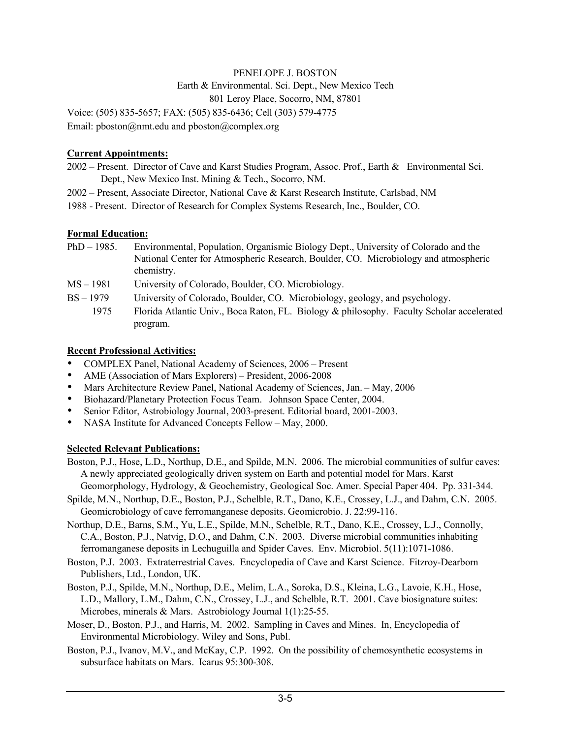## PENELOPE J. BOSTON Earth & Environmental. Sci. Dept., New Mexico Tech 801 Leroy Place, Socorro, NM, 87801

Voice: (505) 835-5657; FAX: (505) 835-6436; Cell (303) 579-4775 Email: pboston@nmt.edu and pboston@complex.org

#### **Current Appointments:**

- 2002 Present. Director of Cave and Karst Studies Program, Assoc. Prof., Earth & Environmental Sci. Dept., New Mexico Inst. Mining & Tech., Socorro, NM.
- 2002 Present, Associate Director, National Cave & Karst Research Institute, Carlsbad, NM
- 1988 Present. Director of Research for Complex Systems Research, Inc., Boulder, CO.

#### **Formal Education:**

- PhD 1985. Environmental, Population, Organismic Biology Dept., University of Colorado and the National Center for Atmospheric Research, Boulder, CO. Microbiology and atmospheric chemistry.
- MS 1981 University of Colorado, Boulder, CO. Microbiology.
- BS 1979 University of Colorado, Boulder, CO. Microbiology, geology, and psychology.
	- 1975 Florida Atlantic Univ., Boca Raton, FL. Biology & philosophy. Faculty Scholar accelerated program.

#### **Recent Professional Activities:**

- COMPLEX Panel, National Academy of Sciences, 2006 Present
- AME (Association of Mars Explorers) President, 2006-2008
- Mars Architecture Review Panel, National Academy of Sciences, Jan. May, 2006
- Biohazard/Planetary Protection Focus Team. Johnson Space Center, 2004.<br>• Senior Editor Astrobiology Journal 2003-present Editorial board 2001-20
- Senior Editor, Astrobiology Journal, 2003-present. Editorial board, 2001-2003.
- NASA Institute for Advanced Concepts Fellow May, 2000.

#### **Selected Relevant Publications:**

- Boston, P.J., Hose, L.D., Northup, D.E., and Spilde, M.N. 2006. The microbial communities of sulfur caves: A newly appreciated geologically driven system on Earth and potential model for Mars. Karst Geomorphology, Hydrology, & Geochemistry, Geological Soc. Amer. Special Paper 404. Pp. 331-344.
- Spilde, M.N., Northup, D.E., Boston, P.J., Schelble, R.T., Dano, K.E., Crossey, L.J., and Dahm, C.N. 2005. Geomicrobiology of cave ferromanganese deposits. Geomicrobio. J. 22:99-116.
- Northup, D.E., Barns, S.M., Yu, L.E., Spilde, M.N., Schelble, R.T., Dano, K.E., Crossey, L.J., Connolly, C.A., Boston, P.J., Natvig, D.O., and Dahm, C.N. 2003. Diverse microbial communities inhabiting ferromanganese deposits in Lechuguilla and Spider Caves. Env. Microbiol. 5(11):1071-1086.
- Boston, P.J. 2003. Extraterrestrial Caves. Encyclopedia of Cave and Karst Science. Fitzroy-Dearborn Publishers, Ltd., London, UK.
- Boston, P.J., Spilde, M.N., Northup, D.E., Melim, L.A., Soroka, D.S., Kleina, L.G., Lavoie, K.H., Hose, L.D., Mallory, L.M., Dahm, C.N., Crossey, L.J., and Schelble, R.T. 2001. Cave biosignature suites: Microbes, minerals & Mars. Astrobiology Journal 1(1):25-55.
- Moser, D., Boston, P.J., and Harris, M. 2002. Sampling in Caves and Mines. In, Encyclopedia of Environmental Microbiology. Wiley and Sons, Publ.
- Boston, P.J., Ivanov, M.V., and McKay, C.P. 1992. On the possibility of chemosynthetic ecosystems in subsurface habitats on Mars. Icarus 95:300-308.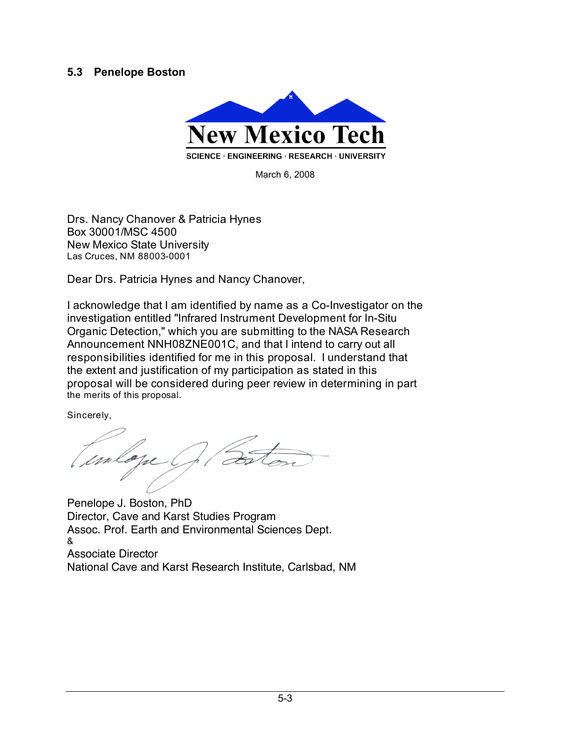## **5.3 Penelope Boston**



March 6, 2008

Drs. Nancy Chanover & Patricia Hynes Box 30001/MSC 4500 New Mexico State University Las Cruces, NM 88003-0001

Dear Drs. Patricia Hynes and Nancy Chanover,

I acknowledge that I am identified by name as a Co-Investigator on the investigation entitled "Infrared Instrument Development for In-Situ Organic Detection," which you are submitting to the NASA Research Announcement NNH08ZNE001C, and that I intend to carry out all responsibilities identified for me in this proposal. I understand that the extent and justification of my participation as stated in this proposal will be considered during peer review in determining in part the merits of this proposal.

Sincerely,

mlone

Penelope J. Boston, PhD Director, Cave and Karst Studies Program Assoc. Prof. Earth and Environmental Sciences Dept. & Associate Director National Cave and Karst Research Institute, Carlsbad, NM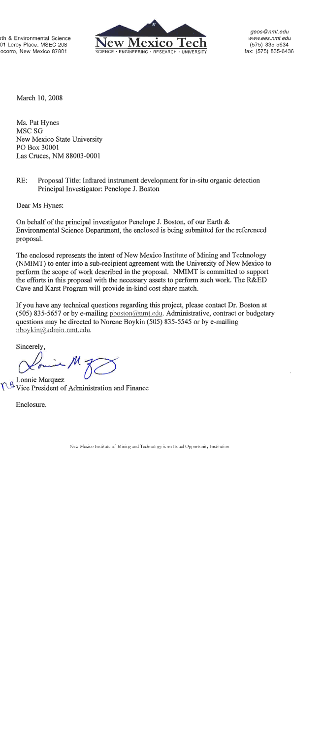rth & Environmental Science 01 Leroy Place, MSEC 208 ocorro, New Mexico 87801



geos@nmt.edu www.ees.nmt.edu (575) 835-5634 fax: (575) 835-6436

March 10, 2008

Ms. Pat Hynes MSC<sub>SG</sub> New Mexico State University PO Box 30001 Las Cruces, NM 88003-0001

 $RE:$ Proposal Title: Infrared instrument development for in-situ organic detection Principal Investigator: Penelope J. Boston

Dear Ms Hynes:

On behalf of the principal investigator Penelope J. Boston, of our Earth & Environmental Science Department, the enclosed is being submitted for the referenced proposal.

The enclosed represents the intent of New Mexico Institute of Mining and Technology (NMIMT) to enter into a sub-recipient agreement with the University of New Mexico to perform the scope of work described in the proposal. NMIMT is committed to support the efforts in this proposal with the necessary assets to perform such work. The R&ED Cave and Karst Program will provide in-kind cost share match.

If you have any technical questions regarding this project, please contact Dr. Boston at (505) 835-5657 or by e-mailing pboston@nmt.edu. Administrative, contract or budgetary questions may be directed to Norene Boykin (505) 835-5545 or by e-mailing nboykin@admin.nmt.edu.

Sincerely,

Lonnie Marquez Vice President of Administration and Finance

Enclosure.